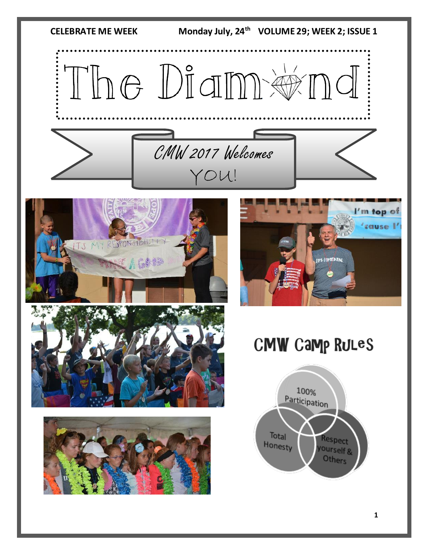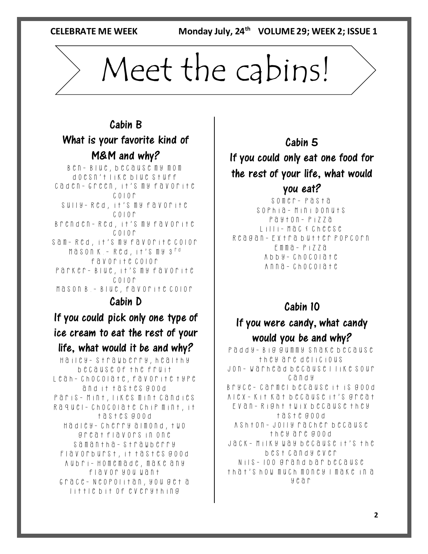**CELEBRATE ME WEEK** 

Monday July, 24<sup>th</sup> VOLUME 29; WEEK 2; ISSUE 1

# Meet the cabins!

#### Cabin B What is your favorite kind of M&M and why?

Ben- Blue, because my mom doesn't like blue stuff Caden- Green, it's my favorite  $C_0$ |  $O_0$   $\Gamma$ Sully- Red, it's my favorite color Brenden- Red, it's my favorite  $C_0$  $C_1$  $C_2$  $C_3$ Sam- Red, it's my favorite color Mason K.- Red, it's my 3rd favorite color Parker- Blue, it's my favorite color Mason B.- Blue, favorite color

#### Cabin D

If you could pick only one type of ice cream to eat the rest of your life, what would it be and why?

Hailey- Strawberry, healthy because of the fruit Leah- chocolate, favorite type and it tastes good Paris- Mint, likes mint candies Raquel- Chocolate chip mint, it tastes good Hadley- cherry almond, two great flavors in one Samantha- strawberry Flavorburst, it tastes good Aubri- Homemade, make any flavor you want Grace- Neopolitan, you get a little bit of everything

### Cabin 5 If you could only eat one food for the rest of your life, what would you eat?

Somer- Pasta Sophia- Mini Donuts Payton- Pizza Lilli- Mac & cheese Reagan- Extra butter popcorn Emma- Pizza Abby- Chocolate Anna- Chocolate

#### Cabin 10

#### If you were candy, what candy would you be and why?

Paddy- Big gummy snake because they are delicious Jon- Warhead because I like sour candy Bryce- Carmel because it is good Alex- Kit kat because it's great Evan- Right twix because they taste good Ashton- Jolly racher because they are good Jack- Milky way because it's the best candy ever Nils- 100 grand bar because that's how much money I make in a year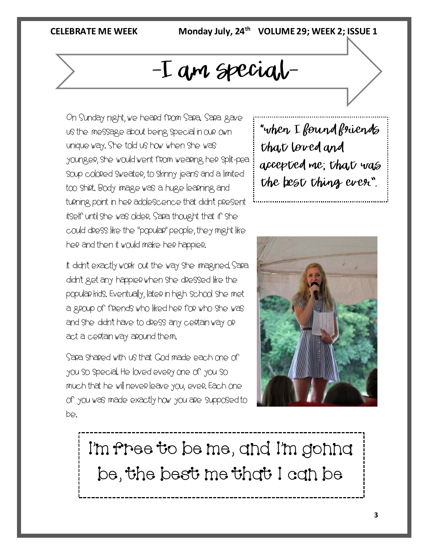#### **CELEBRATE ME WEEK**

Monday July, 24<sup>th</sup> VOLUME 29; WEEK 2; ISSUE 1

## -I am special-

On Sunday night, we heard from Sara. Sara gave us the message about being special in our own unique way. She told us how when she was younger, she would went from wearing her split-pea soup colored sweater, to skinny jeans and a limited too shirt. Body image was a huge learning and turning point in her adolescence that didn't present itself until she was older. Sara thought that if she could dress like the "popular" people, they might like her and then it would make her happier.

It didn't exactly work out the way she imagined. Sara didn't get any happier when she dressed like the popular kids. Eventually, later in high school she met a group of friends who liked her for who she was and she didn't have to dress any certain way or act a certain way around them.

Sara shared with us that God made each one of you so special. He loved every one of you so much that he will never leave you, ever. Each one of you was made exactly how you are supposed to be.

"when I found friends that loved and accepted me; that was the best thing ever".



I'm free to be me, and I'm gonna be, the best me that I can be